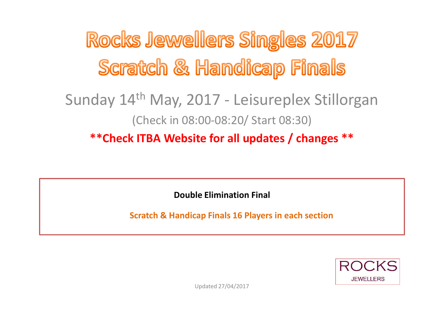Rocks Jewellers Singles 2017 Scratch & Handicap Finals

### Sunday 14th May, 2017 - Leisureplex Stillorgan (Check in 08:00-08:20/ Start 08:30) **\*\*Check ITBA Website for all updates / changes \*\***

**Double Elimination Final** 

**Scratch & Handicap Finals 16 Players in each section**

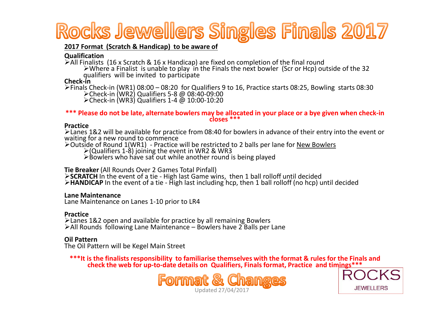# Rocks Jewellers Singles Finals 2017

#### **2017 Format (Scratch & Handicap) to be aware of**

#### **Qualification**

 $\geq$  All Finalists (16 x Scratch & 16 x Handicap) are fixed on completion of the final round

Where a Finalist is unable to play in the Finals the next bowler (Scr or Hcp) outside of the 32 qualifiers will be invited to participate **Check-in**

>Finals Check-in (WR1) 08:00 – 08:20 for Qualifiers 9 to 16, Practice starts 08:25, Bowling starts 08:30<br>
► Fhack in (WR3) Qualifiers 5.8 208:40, 00:00 Check-in (WR2) Qualifiers 5-8 @ 08:40-09:00 Check-in (WR3) Qualifiers 1-4 @ 10:00-10:20

### **\*\*\* Please do not be late, alternate bowlers may be allocated in your place or a bye given when check-in closes \*\*\***

#### **Practice**

≻Lanes 1&2 will be available for practice from 08:40 for bowlers in advance of their entry into the event or<br>waiting for a new round to commence

>Outside of Round 1(WR1) - Practice will be restricted to 2 balls per lane for <u>New Bowlers</u><br>► Outside of Rounditions 1.8) injuring the event in WB2.8 WB2.

 $\geq$  (Qualifiers 1-8) joining the event in WR2 & WR3

 $\triangleright$ Bowlers who have sat out while another round is being played

#### **Tie Breaker** (All Rounds Over 2 Games Total Pinfall)

**SCRATCH** In the event of a tie - High last Game wins, then 1 ball rolloff until decided<br>SHANDICAR In the event of a tie - High last including hen, then 1 ball rolloff (no ben) i

**HANDICAP** In the event of a tie - High last including hcp, then 1 ball rolloff (no hcp) until decided

#### **Lane Maintenance**

Lane Maintenance on Lanes 1-10 prior to LR4

#### **Practice**

 $\geq$  Lanes 1&2 open and available for practice by all remaining Bowlers  $\geq$  1 and  $\geq$  1 and  $\geq$  1 and 1 and 1 and 1 and 1 and 1 and 1 and 1 and 1 and 1 and 1 and 1 and 1 and 1 and 1 and 1 and 1 and 1 and 1 and 1 an  $\triangleright$  All Rounds following Lane Maintenance – Bowlers have 2 Balls per Lane

### **Oil Pattern**

The Oil Pattern will be Kegel Main Street

**\*\*\*It is the finalists responsibility to familiarise themselves with the format & rules for the Finals and check the web for up-to-date details on Qualifiers, Finals format, Practice and timings\*\*\***



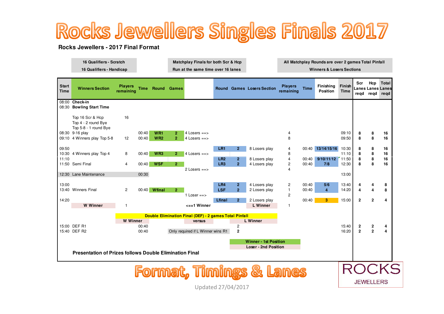# Rocks Jewellers Singles Finals 2017

#### **Rocks Jewellers - 2017 Final Format**

| 16 Qualifiers - Scratch  | Matchplay Finals for both Scr & Hcp | All Matchplay Rounds are over 2 games Total Pinfall |
|--------------------------|-------------------------------------|-----------------------------------------------------|
| 16 Qualifiers - Handicap | Run at the same time over 16 lanes  | <b>Winners &amp; Losers Sections</b>                |
|                          |                                     |                                                     |

| <b>Start</b><br><b>Time</b>                                                                   | <b>Winners Section</b>                                           | <b>Players</b><br>remaining                            | <b>Time</b> | <b>Round Games</b> |                |                                   |                   |                                | <b>Round Games Losers Section</b> | <b>Players</b><br>remaining | <b>Time</b>    | Finishing<br>Position | Finish<br><b>Time</b> | <b>Scr</b><br>regd | Hcp<br>regd                  | Total<br><b>Lanes Lanes Lanes</b><br>regd |
|-----------------------------------------------------------------------------------------------|------------------------------------------------------------------|--------------------------------------------------------|-------------|--------------------|----------------|-----------------------------------|-------------------|--------------------------------|-----------------------------------|-----------------------------|----------------|-----------------------|-----------------------|--------------------|------------------------------|-------------------------------------------|
|                                                                                               | 08:00 Check-in<br>08:30 Bowling Start Time                       |                                                        |             |                    |                |                                   |                   |                                |                                   |                             |                |                       |                       |                    |                              |                                           |
|                                                                                               | Top 16 Scr & Hcp<br>Top 4 - 2 round Bye<br>Top 5-8 - 1 round Bye | 16                                                     |             |                    |                |                                   |                   |                                |                                   |                             |                |                       |                       |                    |                              |                                           |
|                                                                                               | 08:30 9-16 play                                                  |                                                        | 00:40       | WR <sub>1</sub>    | $\mathbf{2}$   | 4 Losers $==$                     |                   |                                |                                   | 4                           |                |                       | 09:10                 | 8                  | 8                            | 16                                        |
|                                                                                               | 09:10 4 Winners play Top 5-8                                     | 12                                                     | 00:40       | WR2                | $\overline{2}$ | $4$ Losers ==>                    |                   |                                |                                   | 8                           |                |                       | 09:50                 | 8                  | 8                            | 16                                        |
| 09:50                                                                                         |                                                                  |                                                        |             |                    |                |                                   | LR1               | $\overline{2}$                 | 8 Losers play                     | 4                           |                | 00:40 13/14/15/16     | 10:30                 | 8                  | 8                            | 16                                        |
|                                                                                               | 10:30 4 Winners play Top 4                                       | 8                                                      | 00:40       | WR <sub>3</sub>    | 2 <sup>1</sup> | 4 Losers $==$                     |                   |                                |                                   | 8                           |                |                       | 11:10                 | 8                  | 8                            | 16                                        |
| 11:10                                                                                         |                                                                  |                                                        |             |                    |                |                                   | LR2               | $\mathbf{2}$                   | 8 Losers play                     | $\overline{4}$              | 00:40          | 9/10/11/12            | 11:50                 | 8                  | 8                            | 16                                        |
|                                                                                               | 11:50 Semi Final                                                 | $\overline{4}$                                         | 00:40       | <b>WSF</b>         | 2 <sup>1</sup> |                                   | LR <sub>3</sub>   | $\overline{2}$                 | 4 Losers play                     | 2                           | 00:40          | 7/8                   | 12:30                 | 8                  | 8                            | 16                                        |
|                                                                                               |                                                                  |                                                        |             |                    |                | 2 Losers $==$                     |                   |                                |                                   | 4                           |                |                       |                       |                    |                              |                                           |
|                                                                                               | 12:30 Lane Maintenance                                           |                                                        | 00:30       |                    |                |                                   |                   |                                |                                   |                             |                |                       | 13:00                 |                    |                              |                                           |
|                                                                                               |                                                                  |                                                        |             |                    |                |                                   |                   |                                |                                   |                             |                |                       |                       |                    |                              |                                           |
| 13:00                                                                                         | 13:40 Winners Final                                              | $\overline{c}$                                         |             | 00:40 Wfinal       | 2 <sup>1</sup> |                                   | LR4<br><b>LSF</b> | $\mathbf{2}$<br>$\overline{2}$ | 4 Losers play<br>2 Losers play    | 2<br>1                      | 00:40<br>00:40 | 5/6<br>$\overline{4}$ | 13:40<br>14:20        | 4                  | 4<br>$\overline{\mathbf{4}}$ | 8<br>8                                    |
|                                                                                               |                                                                  |                                                        |             |                    |                | 1 Loser $==$                      |                   |                                |                                   | $\overline{2}$              |                |                       |                       |                    |                              |                                           |
| 14:20                                                                                         |                                                                  |                                                        |             |                    |                |                                   | Lfinal            | $\overline{2}$                 | 2 Losers play                     |                             | 00:40          | 3                     | 15:00                 | $\overline{2}$     | $\mathbf{2}$                 | 4                                         |
|                                                                                               | <b>W</b> Winner                                                  | -1                                                     |             |                    |                | $\epsilon$ ==1 Winner             |                   |                                | <b>L</b> Winner                   | 1                           |                |                       |                       |                    |                              |                                           |
|                                                                                               |                                                                  |                                                        |             |                    |                |                                   |                   |                                |                                   |                             |                |                       |                       |                    |                              |                                           |
|                                                                                               |                                                                  | Double Elimination Final (DEF) - 2 games Total Pinfall |             |                    |                |                                   |                   |                                |                                   |                             |                |                       |                       |                    |                              |                                           |
|                                                                                               |                                                                  | <b>W</b> Winner                                        |             |                    |                | versus                            |                   |                                | <b>L</b> Winner                   |                             |                |                       |                       |                    |                              |                                           |
|                                                                                               | 15:00 DEF R1                                                     |                                                        | 00:40       |                    |                |                                   |                   | $\overline{c}$                 |                                   |                             |                |                       | 15:40                 | 2                  | $\mathbf{2}$                 | 4                                         |
|                                                                                               | 15:40 DEF R2                                                     |                                                        | 00:40       |                    |                | Only required if L Winner wins R1 |                   | $\mathbf{2}$                   |                                   |                             |                |                       | 16:20                 | $\mathbf{2}$       | $\overline{2}$               | 4                                         |
|                                                                                               |                                                                  |                                                        |             |                    |                |                                   |                   |                                | <b>Winner - 1st Position</b>      |                             |                |                       |                       |                    |                              |                                           |
| <b>Loser - 2nd Position</b><br><b>Presentation of Prizes follows Double Elimination Final</b> |                                                                  |                                                        |             |                    |                |                                   |                   |                                |                                   |                             |                |                       |                       |                    |                              |                                           |
|                                                                                               |                                                                  |                                                        |             |                    |                |                                   |                   |                                |                                   |                             |                |                       |                       |                    |                              |                                           |
|                                                                                               |                                                                  |                                                        |             |                    |                |                                   |                   |                                |                                   |                             |                |                       |                       |                    |                              |                                           |

Updated 27/04/2017

**JEWELLERS**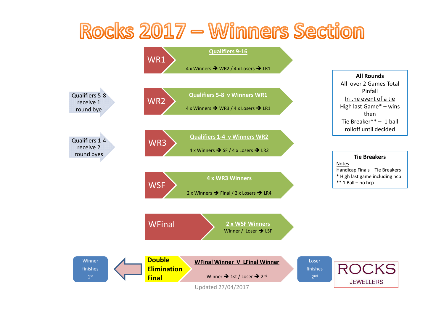## Rocks 2017 - Winners Section